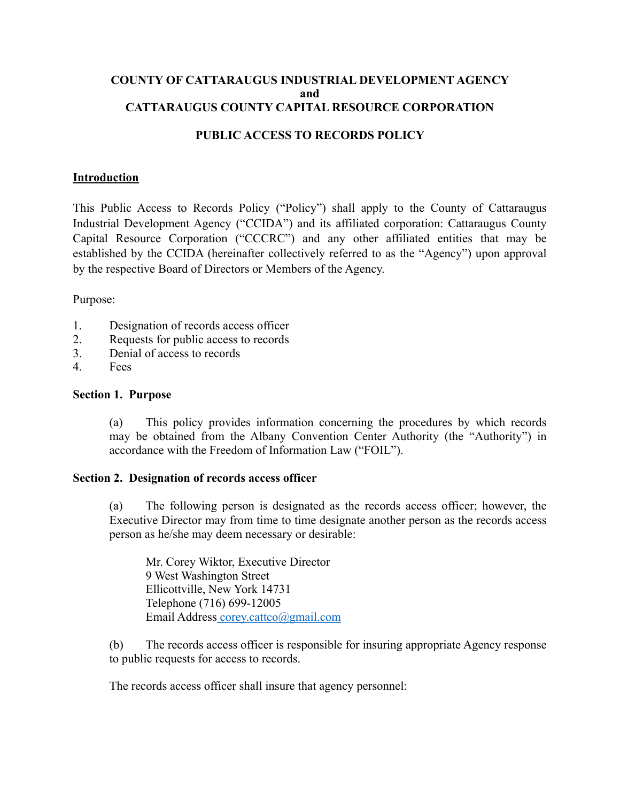## **COUNTY OF CATTARAUGUS INDUSTRIAL DEVELOPMENT AGENCY and CATTARAUGUS COUNTY CAPITAL RESOURCE CORPORATION**

# **PUBLIC ACCESS TO RECORDS POLICY**

### **Introduction**

This Public Access to Records Policy ("Policy") shall apply to the County of Cattaraugus Industrial Development Agency ("CCIDA") and its affiliated corporation: Cattaraugus County Capital Resource Corporation ("CCCRC") and any other affiliated entities that may be established by the CCIDA (hereinafter collectively referred to as the "Agency") upon approval by the respective Board of Directors or Members of the Agency.

Purpose:

- 1. Designation of records access officer
- 2. Requests for public access to records
- 3. Denial of access to records
- 4. Fees

#### **Section 1. Purpose**

(a) This policy provides information concerning the procedures by which records may be obtained from the Albany Convention Center Authority (the "Authority") in accordance with the Freedom of Information Law ("FOIL").

#### **Section 2. Designation of records access officer**

(a) The following person is designated as the records access officer; however, the Executive Director may from time to time designate another person as the records access person as he/she may deem necessary or desirable:

Mr. Corey Wiktor, Executive Director 9 West Washington Street Ellicottville, New York 14731 Telephone (716) 699-12005 Email Addres[s corey.cattco@gmail.com](mailto:%20corey.cattco@gmail.com)

(b) The records access officer is responsible for insuring appropriate Agency response to public requests for access to records.

The records access officer shall insure that agency personnel: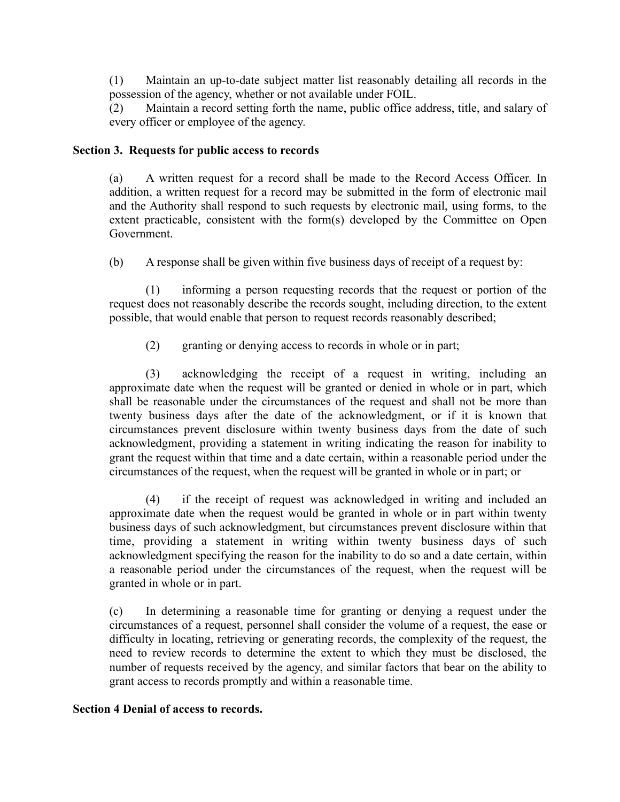(1) Maintain an up-to-date subject matter list reasonably detailing all records in the possession of the agency, whether or not available under FOIL.

(2) Maintain a record setting forth the name, public office address, title, and salary of every officer or employee of the agency.

## **Section 3. Requests for public access to records**

(a) A written request for a record shall be made to the Record Access Officer. In addition, a written request for a record may be submitted in the form of electronic mail and the Authority shall respond to such requests by electronic mail, using forms, to the extent practicable, consistent with the form(s) developed by the Committee on Open Government.

(b) A response shall be given within five business days of receipt of a request by:

(1) informing a person requesting records that the request or portion of the request does not reasonably describe the records sought, including direction, to the extent possible, that would enable that person to request records reasonably described;

(2) granting or denying access to records in whole or in part;

(3) acknowledging the receipt of a request in writing, including an approximate date when the request will be granted or denied in whole or in part, which shall be reasonable under the circumstances of the request and shall not be more than twenty business days after the date of the acknowledgment, or if it is known that circumstances prevent disclosure within twenty business days from the date of such acknowledgment, providing a statement in writing indicating the reason for inability to grant the request within that time and a date certain, within a reasonable period under the circumstances of the request, when the request will be granted in whole or in part; or

(4) if the receipt of request was acknowledged in writing and included an approximate date when the request would be granted in whole or in part within twenty business days of such acknowledgment, but circumstances prevent disclosure within that time, providing a statement in writing within twenty business days of such acknowledgment specifying the reason for the inability to do so and a date certain, within a reasonable period under the circumstances of the request, when the request will be granted in whole or in part.

(c) In determining a reasonable time for granting or denying a request under the circumstances of a request, personnel shall consider the volume of a request, the ease or difficulty in locating, retrieving or generating records, the complexity of the request, the need to review records to determine the extent to which they must be disclosed, the number of requests received by the agency, and similar factors that bear on the ability to grant access to records promptly and within a reasonable time.

## **Section 4 Denial of access to records.**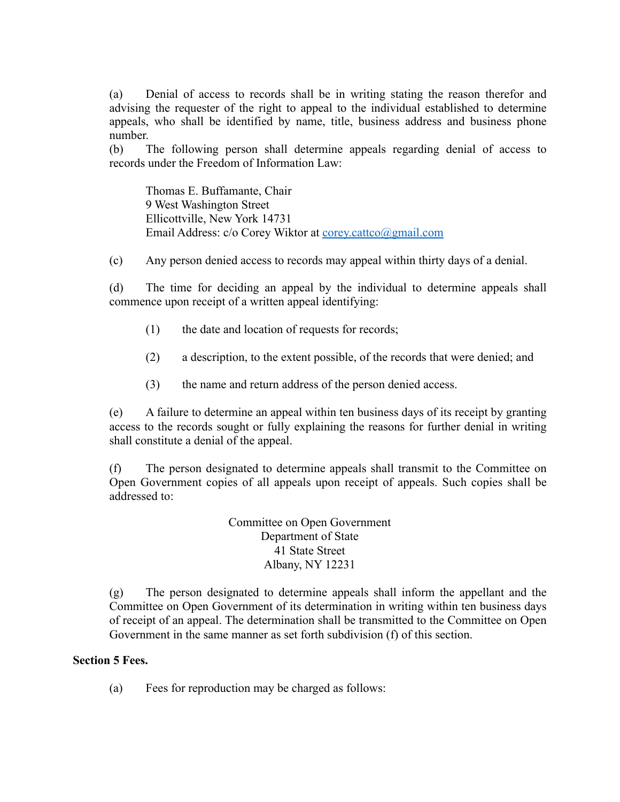(a) Denial of access to records shall be in writing stating the reason therefor and advising the requester of the right to appeal to the individual established to determine appeals, who shall be identified by name, title, business address and business phone number.

(b) The following person shall determine appeals regarding denial of access to records under the Freedom of Information Law:

Thomas E. Buffamante, Chair 9 West Washington Street Ellicottville, New York 14731 Email Address: c/o Corey Wiktor at [corey.cattco@gmail.com](mailto:corey.cattco@gmail.com)

(c) Any person denied access to records may appeal within thirty days of a denial.

(d) The time for deciding an appeal by the individual to determine appeals shall commence upon receipt of a written appeal identifying:

- (1) the date and location of requests for records;
- (2) a description, to the extent possible, of the records that were denied; and
- (3) the name and return address of the person denied access.

(e) A failure to determine an appeal within ten business days of its receipt by granting access to the records sought or fully explaining the reasons for further denial in writing shall constitute a denial of the appeal.

(f) The person designated to determine appeals shall transmit to the Committee on Open Government copies of all appeals upon receipt of appeals. Such copies shall be addressed to:

> Committee on Open Government Department of State 41 State Street Albany, NY 12231

(g) The person designated to determine appeals shall inform the appellant and the Committee on Open Government of its determination in writing within ten business days of receipt of an appeal. The determination shall be transmitted to the Committee on Open Government in the same manner as set forth subdivision (f) of this section.

## **Section 5 Fees.**

(a) Fees for reproduction may be charged as follows: